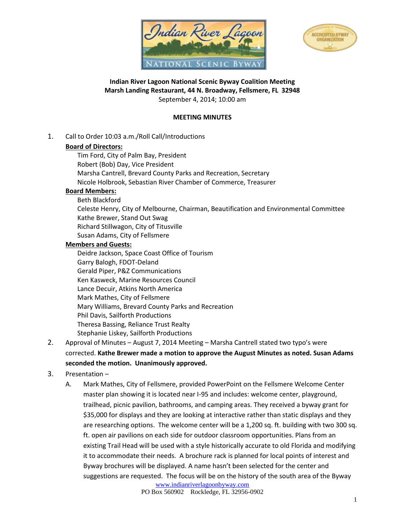



### **Indian River Lagoon National Scenic Byway Coalition Meeting Marsh Landing Restaurant, 44 N. Broadway, Fellsmere, FL 32948** September 4, 2014; 10:00 am

#### **MEETING MINUTES**

1. Call to Order 10:03 a.m./Roll Call/Introductions

#### **Board of Directors:**

Tim Ford, City of Palm Bay, President Robert (Bob) Day, Vice President Marsha Cantrell, Brevard County Parks and Recreation, Secretary Nicole Holbrook, Sebastian River Chamber of Commerce, Treasurer

### **Board Members:**

- Beth Blackford
- Celeste Henry, City of Melbourne, Chairman, Beautification and Environmental Committee Kathe Brewer, Stand Out Swag Richard Stillwagon, City of Titusville Susan Adams, City of Fellsmere

### **Members and Guests:**

- Deidre Jackson, Space Coast Office of Tourism Garry Balogh, FDOT-Deland Gerald Piper, P&Z Communications Ken Kasweck, Marine Resources Council Lance Decuir, Atkins North America Mark Mathes, City of Fellsmere Mary Williams, Brevard County Parks and Recreation Phil Davis, Sailforth Productions Theresa Bassing, Reliance Trust Realty Stephanie Liskey, Sailforth Productions
- 2. Approval of Minutes August 7, 2014 Meeting Marsha Cantrell stated two typo's were corrected. **Kathe Brewer made a motion to approve the August Minutes as noted. Susan Adams seconded the motion. Unanimously approved.**

### 3. Presentation –

A. Mark Mathes, City of Fellsmere, provided PowerPoint on the Fellsmere Welcome Center master plan showing it is located near I-95 and includes: welcome center, playground, trailhead, picnic pavilion, bathrooms, and camping areas. They received a byway grant for \$35,000 for displays and they are looking at interactive rather than static displays and they are researching options. The welcome center will be a 1,200 sq. ft. building with two 300 sq. ft. open air pavilions on each side for outdoor classroom opportunities. Plans from an existing Trail Head will be used with a style historically accurate to old Florida and modifying it to accommodate their needs. A brochure rack is planned for local points of interest and Byway brochures will be displayed. A name hasn't been selected for the center and suggestions are requested. The focus will be on the history of the south area of the Byway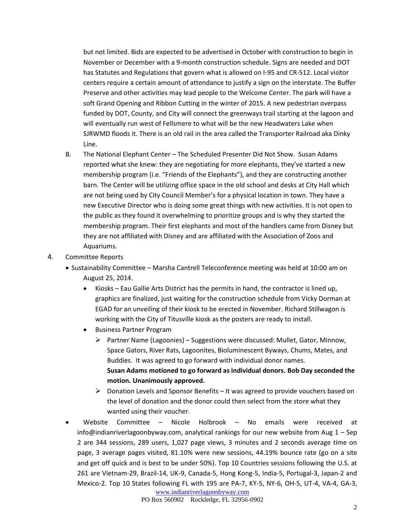but not limited. Bids are expected to be advertised in October with construction to begin in November or December with a 9-month construction schedule. Signs are needed and DOT has Statutes and Regulations that govern what is allowed on I-95 and CR-512. Local visitor centers require a certain amount of attendance to justify a sign on the interstate. The Buffer Preserve and other activities may lead people to the Welcome Center. The park will have a soft Grand Opening and Ribbon Cutting in the winter of 2015. A new pedestrian overpass funded by DOT, County, and City will connect the greenways trail starting at the lagoon and will eventually run west of Fellsmere to what will be the new Headwaters Lake when SJRWMD floods it. There is an old rail in the area called the Transporter Railroad aka Dinky Line.

- B. The National Elephant Center The Scheduled Presenter Did Not Show. Susan Adams reported what she knew: they are negotiating for more elephants, they've started a new membership program (i.e. "Friends of the Elephants"), and they are constructing another barn. The Center will be utilizing office space in the old school and desks at City Hall which are not being used by City Council Member's for a physical location in town. They have a new Executive Director who is doing some great things with new activities. It is not open to the public as they found it overwhelming to prioritize groups and is why they started the membership program. Their first elephants and most of the handlers came from Disney but they are not affiliated with Disney and are affiliated with the Association of Zoos and Aquariums.
- 4. Committee Reports
	- Sustainability Committee Marsha Cantrell Teleconference meeting was held at 10:00 am on August 25, 2014.
		- Kiosks Eau Gallie Arts District has the permits in hand, the contractor is lined up, graphics are finalized, just waiting for the construction schedule from Vicky Dorman at EGAD for an unveiling of their kiosk to be erected in November. Richard Stillwagon is working with the City of Titusville kiosk as the posters are ready to install.
		- Business Partner Program
			- $\triangleright$  Partner Name (Lagoonies) Suggestions were discussed: Mullet, Gator, Minnow, Space Gators, River Rats, Lagoonites, Bioluminescent Byways, Chums, Mates, and Buddies. It was agreed to go forward with individual donor names. **Susan Adams motioned to go forward as individual donors. Bob Day seconded the motion. Unanimously approved.**
			- $\triangleright$  Donation Levels and Sponsor Benefits It was agreed to provide vouchers based on the level of donation and the donor could then select from the store what they wanted using their voucher.
	- Website Committee Nicole Holbrook No emails were received at info@indianriverlagoonbyway.com, analytical rankings for our new website from Aug  $1 -$  Sep 2 are 344 sessions, 289 users, 1,027 page views, 3 minutes and 2 seconds average time on page, 3 average pages visited, 81.10% were new sessions, 44.19% bounce rate (go on a site and get off quick and is best to be under 50%). Top 10 Countries sessions following the U.S. at 261 are Vietnam-29, Brazil-14, UK-9, Canada-5, Hong Kong-5, India-5, Portugal-3, Japan-2 and Mexico-2. Top 10 States following FL with 195 are PA-7, KY-5, NY-6, OH-5, UT-4, VA-4, GA-3,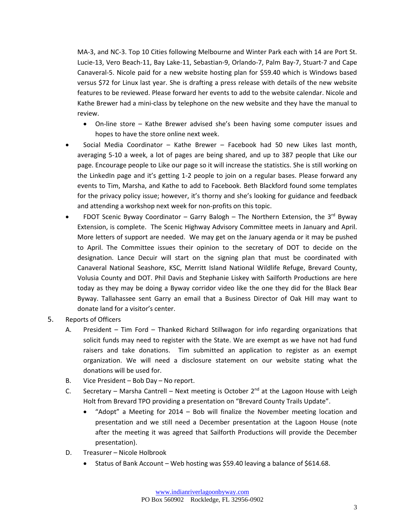MA-3, and NC-3. Top 10 Cities following Melbourne and Winter Park each with 14 are Port St. Lucie-13, Vero Beach-11, Bay Lake-11, Sebastian-9, Orlando-7, Palm Bay-7, Stuart-7 and Cape Canaveral-5. Nicole paid for a new website hosting plan for \$59.40 which is Windows based versus \$72 for Linux last year. She is drafting a press release with details of the new website features to be reviewed. Please forward her events to add to the website calendar. Nicole and Kathe Brewer had a mini-class by telephone on the new website and they have the manual to review.

- On-line store Kathe Brewer advised she's been having some computer issues and hopes to have the store online next week.
- Social Media Coordinator Kathe Brewer Facebook had 50 new Likes last month, averaging 5-10 a week, a lot of pages are being shared, and up to 387 people that Like our page. Encourage people to Like our page so it will increase the statistics. She is still working on the LinkedIn page and it's getting 1-2 people to join on a regular bases. Please forward any events to Tim, Marsha, and Kathe to add to Facebook. Beth Blackford found some templates for the privacy policy issue; however, it's thorny and she's looking for guidance and feedback and attending a workshop next week for non-profits on this topic.
- FDOT Scenic Byway Coordinator Garry Balogh The Northern Extension, the 3<sup>rd</sup> Byway Extension, is complete. The Scenic Highway Advisory Committee meets in January and April. More letters of support are needed. We may get on the January agenda or it may be pushed to April. The Committee issues their opinion to the secretary of DOT to decide on the designation. Lance Decuir will start on the signing plan that must be coordinated with Canaveral National Seashore, KSC, Merritt Island National Wildlife Refuge, Brevard County, Volusia County and DOT. Phil Davis and Stephanie Liskey with Sailforth Productions are here today as they may be doing a Byway corridor video like the one they did for the Black Bear Byway. Tallahassee sent Garry an email that a Business Director of Oak Hill may want to donate land for a visitor's center.
- 5. Reports of Officers
	- A. President Tim Ford Thanked Richard Stillwagon for info regarding organizations that solicit funds may need to register with the State. We are exempt as we have not had fund raisers and take donations. Tim submitted an application to register as an exempt organization. We will need a disclosure statement on our website stating what the donations will be used for.
	- B. Vice President Bob Day No report.
	- C. Secretary Marsha Cantrell Next meeting is October  $2^{nd}$  at the Lagoon House with Leigh Holt from Brevard TPO providing a presentation on "Brevard County Trails Update".
		- "Adopt" a Meeting for 2014 Bob will finalize the November meeting location and presentation and we still need a December presentation at the Lagoon House (note after the meeting it was agreed that Sailforth Productions will provide the December presentation).
	- D. Treasurer Nicole Holbrook
		- Status of Bank Account Web hosting was \$59.40 leaving a balance of \$614.68.